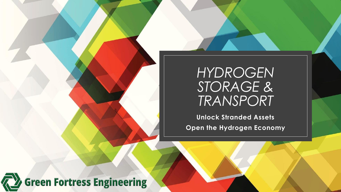### *HYDROGEN STORAGE & TRANSPORT*

**Unlock Stranded Assets Open the Hydrogen Economy**

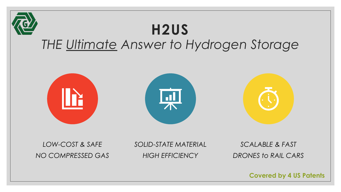

**Covered by 4 US Patents**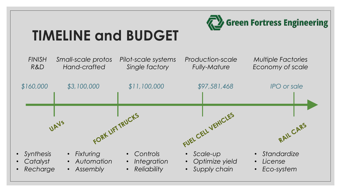

# **TIMELINE and BUDGET**

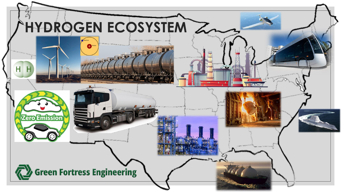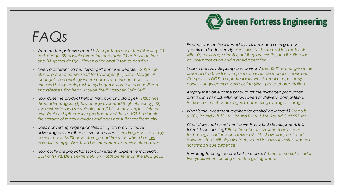## *FAQs*

- *What do the patents protect? Four patents cover the following: (1) tank design; (2) particle formation and etch; (3) catalyst action; and (4) system design. Eleven additional IP topics pending.*
- *Need a different name. "Sponge" confuses people. H2US is the official product name, short for Hydrogen (H<sup>2</sup> ) Ultra-Storage. A "sponge" is an analogy where porous material holds water, released by squeezing, while hydrogen is stored in porous silicon and release using heat. Maybe the "Hydrogen Solidifier".*
- *How does the product help in transport and storage? H2US has three advantages: (1) low energy overhead (high efficiency); (2) low cost, safe, and recyclable; and (3) fits in any shape. Neither cryo-liquid or high-pressure gas has any of these. H2US is double the storage of metal hydrides and does not suffer exothermicity.*
- *Does converting large quantities of H<sup>2</sup> into product have advantages over other conversion systems? Hydrogen is an energy carrier, so you MUST have storage and transport which has low parasitic energy. Else, it will be uneconomical versus alternatives.*
- *How costly are projections for conversion? Expensive materials? Cost of* **\$7.72/kWh** *is extremely low - 30% better than the DOE goal.*

◦ *Product can be transported by rail, truck and air in greater quantities due to density. Yes, exactly. There exist lab materials with higher storage density, but they are exotic, and ill-suited for volume production and rugged operation.* 

Green Fortress Engineering

- *Explain the bicycle pump comparison? The H2US re-charges at the pressure of a bike tire pump – it can even be manually operated. Compare to DOE composite tanks, which require huge, noisy, power-hungry compressors costing \$2M+ per re-charge station.*
- *Amplify the value of the product for the hydrogen production plants such as cost, efficiency, speed of delivery, competition. H2US is best-in-class among ALL competing hydrogen storage.*
- *What is the investment required for controlling interest? Rseed is \$160k, Round A is \$3.1M. Round B is \$11.1M. Round C at \$97.4M.*
- *What does that investment cover? Product development, lab, talent, labor, testing? Each tranche of investment advances technology readiness and retires risk. No show-stoppers found. However, this is still high-risk tech, suited to savvy investors who do not shirk on due diligence.*
- *How long to bring the product to market? Time to market is under two years when funding is not the gating pace.*